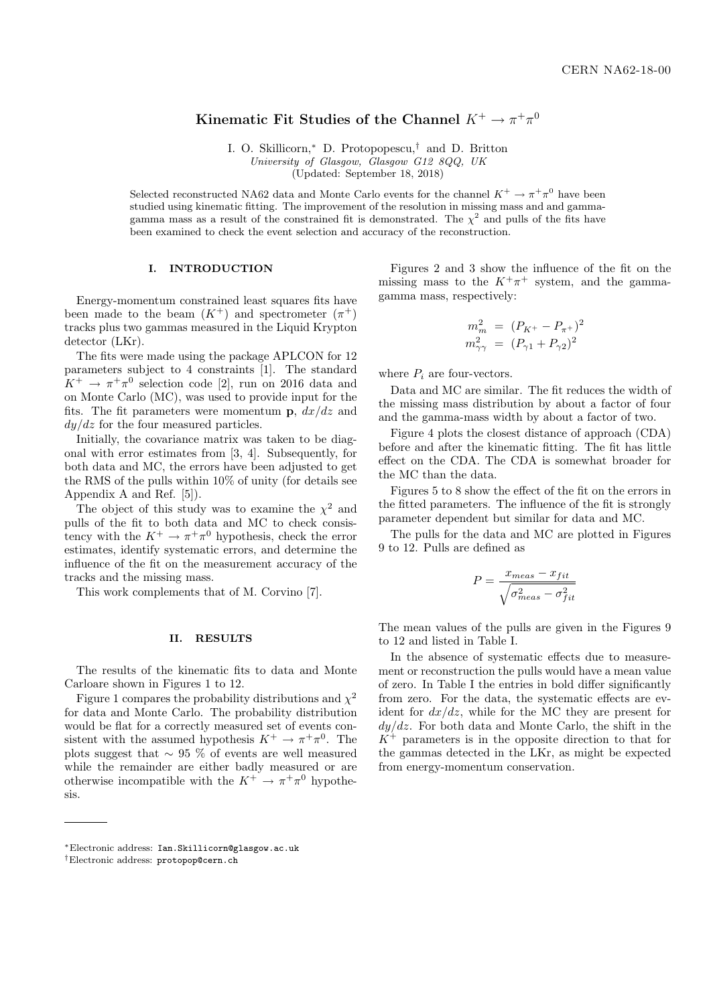# Kinematic Fit Studies of the Channel  $K^+ \to \pi^+ \pi^0$

I. O. Skillicorn,<sup>∗</sup> D. Protopopescu,† and D. Britton University of Glasgow, Glasgow G12 8QQ, UK

(Updated: September 18, 2018)

Selected reconstructed NA62 data and Monte Carlo events for the channel  $K^+ \to \pi^+ \pi^0$  have been studied using kinematic fitting. The improvement of the resolution in missing mass and and gammagamma mass as a result of the constrained fit is demonstrated. The  $\chi^2$  and pulls of the fits have been examined to check the event selection and accuracy of the reconstruction.

#### I. INTRODUCTION

Energy-momentum constrained least squares fits have been made to the beam  $(K^+)$  and spectrometer  $(\pi^+)$ tracks plus two gammas measured in the Liquid Krypton detector (LKr).

The fits were made using the package APLCON for 12 parameters subject to 4 constraints [1]. The standard  $K^+ \rightarrow \pi^+\pi^0$  selection code [2], run on 2016 data and on Monte Carlo (MC), was used to provide input for the fits. The fit parameters were momentum  $\mathbf{p}$ ,  $dx/dz$  and  $dy/dz$  for the four measured particles.

Initially, the covariance matrix was taken to be diagonal with error estimates from [3, 4]. Subsequently, for both data and MC, the errors have been adjusted to get the RMS of the pulls within 10% of unity (for details see Appendix A and Ref. [5]).

The object of this study was to examine the  $\chi^2$  and pulls of the fit to both data and MC to check consistency with the  $K^+ \to \pi^+ \pi^0$  hypothesis, check the error estimates, identify systematic errors, and determine the influence of the fit on the measurement accuracy of the tracks and the missing mass.

This work complements that of M. Corvino [7].

#### II. RESULTS

The results of the kinematic fits to data and Monte Carloare shown in Figures 1 to 12.

Figure 1 compares the probability distributions and  $\chi^2$ for data and Monte Carlo. The probability distribution would be flat for a correctly measured set of events consistent with the assumed hypothesis  $K^+ \to \pi^+ \pi^0$ . The plots suggest that  $\sim$  95 % of events are well measured while the remainder are either badly measured or are otherwise incompatible with the  $K^+ \to \pi^+ \pi^0$  hypothesis.

Figures 2 and 3 show the influence of the fit on the missing mass to the  $K^+\pi^+$  system, and the gammagamma mass, respectively:

$$
m_m^2 = (P_{K^+} - P_{\pi^+})^2
$$
  

$$
m_{\gamma\gamma}^2 = (P_{\gamma 1} + P_{\gamma 2})^2
$$

where  $P_i$  are four-vectors.

Data and MC are similar. The fit reduces the width of the missing mass distribution by about a factor of four and the gamma-mass width by about a factor of two.

Figure 4 plots the closest distance of approach (CDA) before and after the kinematic fitting. The fit has little effect on the CDA. The CDA is somewhat broader for the MC than the data.

Figures 5 to 8 show the effect of the fit on the errors in the fitted parameters. The influence of the fit is strongly parameter dependent but similar for data and MC.

The pulls for the data and MC are plotted in Figures 9 to 12. Pulls are defined as

$$
P = \frac{x_{meas} - x_{fit}}{\sqrt{\sigma_{meas}^2 - \sigma_{fit}^2}}
$$

The mean values of the pulls are given in the Figures 9 to 12 and listed in Table I.

In the absence of systematic effects due to measurement or reconstruction the pulls would have a mean value of zero. In Table I the entries in bold differ significantly from zero. For the data, the systematic effects are evident for  $dx/dz$ , while for the MC they are present for  $dy/dz$ . For both data and Monte Carlo, the shift in the  $K^+$  parameters is in the opposite direction to that for the gammas detected in the LKr, as might be expected from energy-momentum conservation.

<sup>∗</sup>Electronic address: Ian.Skillicorn@glasgow.ac.uk

<sup>†</sup>Electronic address: protopop@cern.ch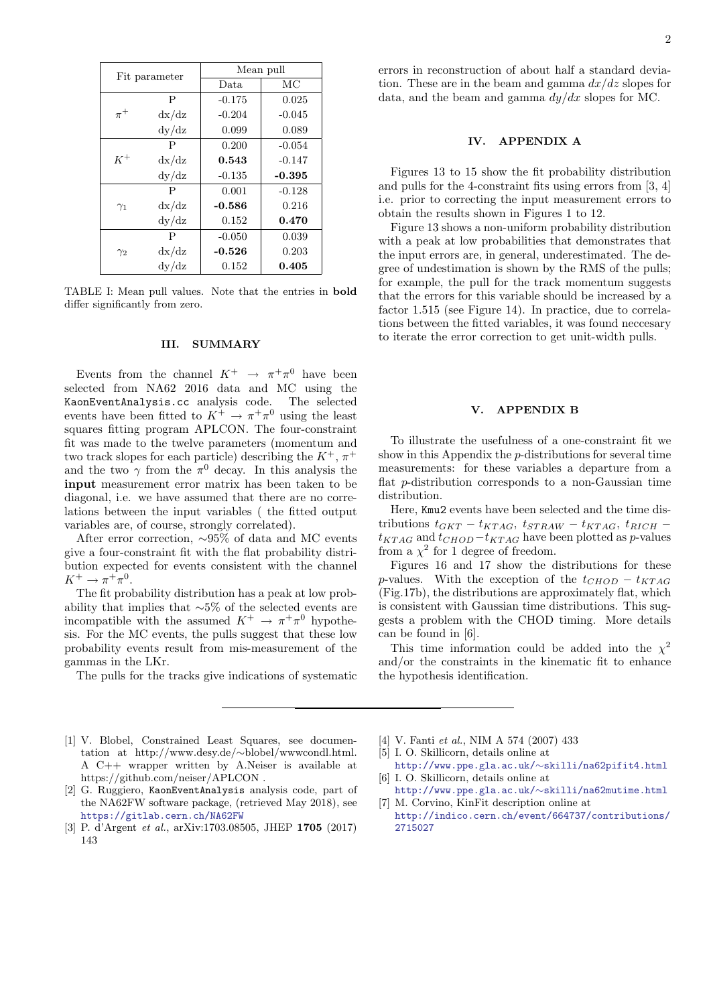| Fit parameter |       | Mean pull |          |
|---------------|-------|-----------|----------|
|               |       | Data.     | МC       |
| $\pi^+$       | P     | $-0.175$  | 0.025    |
|               | dx/dz | $-0.204$  | $-0.045$ |
|               | dy/dz | 0.099     | 0.089    |
| $K^+$         | P     | 0.200     | $-0.054$ |
|               | dx/dz | 0.543     | $-0.147$ |
|               | dy/dz | $-0.135$  | $-0.395$ |
| $\gamma_1$    | P     | 0.001     | $-0.128$ |
|               | dx/dz | $-0.586$  | 0.216    |
|               | dy/dz | 0.152     | 0.470    |
| $\gamma_2$    | P     | $-0.050$  | 0.039    |
|               | dx/dz | $-0.526$  | 0.203    |
|               | dy/dz | 0.152     | 0.405    |

TABLE I: Mean pull values. Note that the entries in bold differ significantly from zero.

#### III. SUMMARY

Events from the channel  $K^+ \rightarrow \pi^+ \pi^0$  have been selected from NA62 2016 data and MC using the KaonEventAnalysis.cc analysis code. The selected events have been fitted to  $K^+ \to \pi^+ \pi^0$  using the least squares fitting program APLCON. The four-constraint fit was made to the twelve parameters (momentum and two track slopes for each particle) describing the  $K^+$ ,  $\pi^+$ and the two  $\gamma$  from the  $\pi^0$  decay. In this analysis the input measurement error matrix has been taken to be diagonal, i.e. we have assumed that there are no correlations between the input variables ( the fitted output variables are, of course, strongly correlated).

After error correction, ∼95% of data and MC events give a four-constraint fit with the flat probability distribution expected for events consistent with the channel  $K^+ \to \pi^+ \pi^0$ .

The fit probability distribution has a peak at low probability that implies that ∼5% of the selected events are incompatible with the assumed  $K^+ \to \pi^+ \pi^0$  hypothesis. For the MC events, the pulls suggest that these low probability events result from mis-measurement of the gammas in the LKr.

The pulls for the tracks give indications of systematic

errors in reconstruction of about half a standard deviation. These are in the beam and gamma  $dx/dz$  slopes for data, and the beam and gamma  $dy/dx$  slopes for MC.

# IV. APPENDIX A

Figures 13 to 15 show the fit probability distribution and pulls for the 4-constraint fits using errors from [3, 4] i.e. prior to correcting the input measurement errors to obtain the results shown in Figures 1 to 12.

Figure 13 shows a non-uniform probability distribution with a peak at low probabilities that demonstrates that the input errors are, in general, underestimated. The degree of undestimation is shown by the RMS of the pulls; for example, the pull for the track momentum suggests that the errors for this variable should be increased by a factor 1.515 (see Figure 14). In practice, due to correlations between the fitted variables, it was found neccesary to iterate the error correction to get unit-width pulls.

## V. APPENDIX B

To illustrate the usefulness of a one-constraint fit we show in this Appendix the p-distributions for several time measurements: for these variables a departure from a flat p-distribution corresponds to a non-Gaussian time distribution.

Here, Kmu2 events have been selected and the time distributions  $t_{GKT} - t_{KTAG}$ ,  $t_{STRAW} - t_{KTAG}$ ,  $t_{RICH}$  –  $t_{KTAG}$  and  $t_{CHOD}-t_{KTAG}$  have been plotted as p-values from a  $\chi^2$  for 1 degree of freedom.

Figures 16 and 17 show the distributions for these p-values. With the exception of the  $t_{CHOD} - t_{KTAG}$ (Fig.17b), the distributions are approximately flat, which is consistent with Gaussian time distributions. This suggests a problem with the CHOD timing. More details can be found in [6].

This time information could be added into the  $\chi^2$ and/or the constraints in the kinematic fit to enhance the hypothesis identification.

- [1] V. Blobel, Constrained Least Squares, see documentation at http://www.desy.de/∼blobel/wwwcondl.html. A C++ wrapper written by A.Neiser is available at https://github.com/neiser/APLCON .
- [2] G. Ruggiero, KaonEventAnalysis analysis code, part of the NA62FW software package, (retrieved May 2018), see https://gitlab.cern.ch/NA62FW
- [3] P. d'Argent et al., arXiv:1703.08505, JHEP 1705 (2017) 143
- [4] V. Fanti et al., NIM A 574 (2007) 433
- [5] I. O. Skillicorn, details online at http://www.ppe.gla.ac.uk/∼skilli/na62pifit4.html [6] I. O. Skillicorn, details online at
- http://www.ppe.gla.ac.uk/∼skilli/na62mutime.html [7] M. Corvino, KinFit description online at

http://indico.cern.ch/event/664737/contributions/ 2715027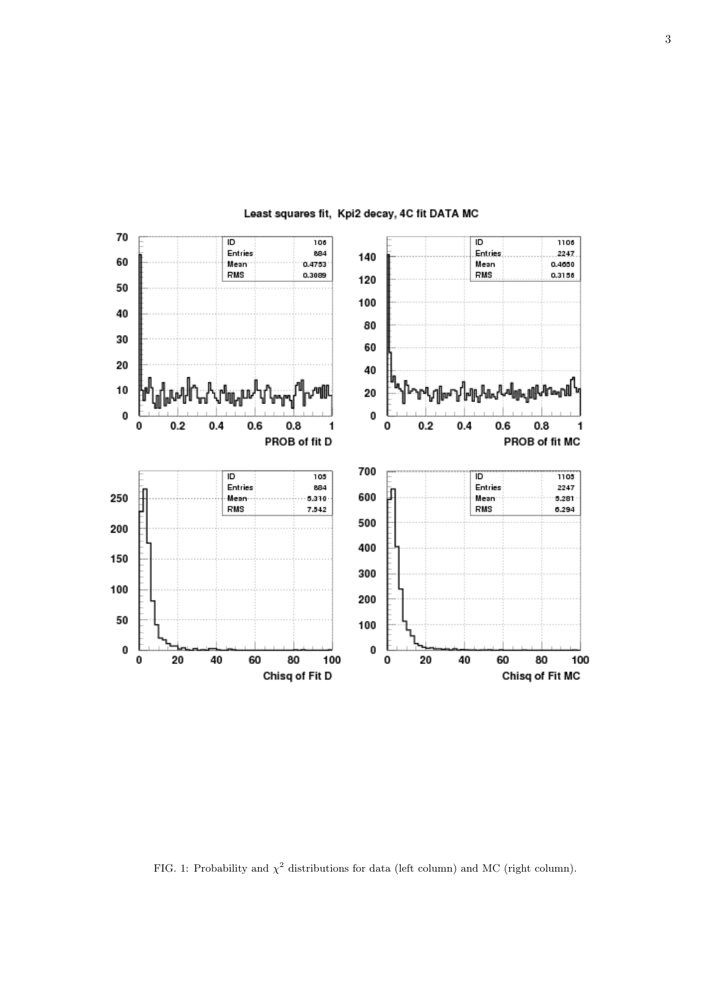

Least squares fit, Kpi2 decay, 4C fit DATA MC

FIG. 1: Probability and  $\chi^2$  distributions for data (left column) and MC (right column).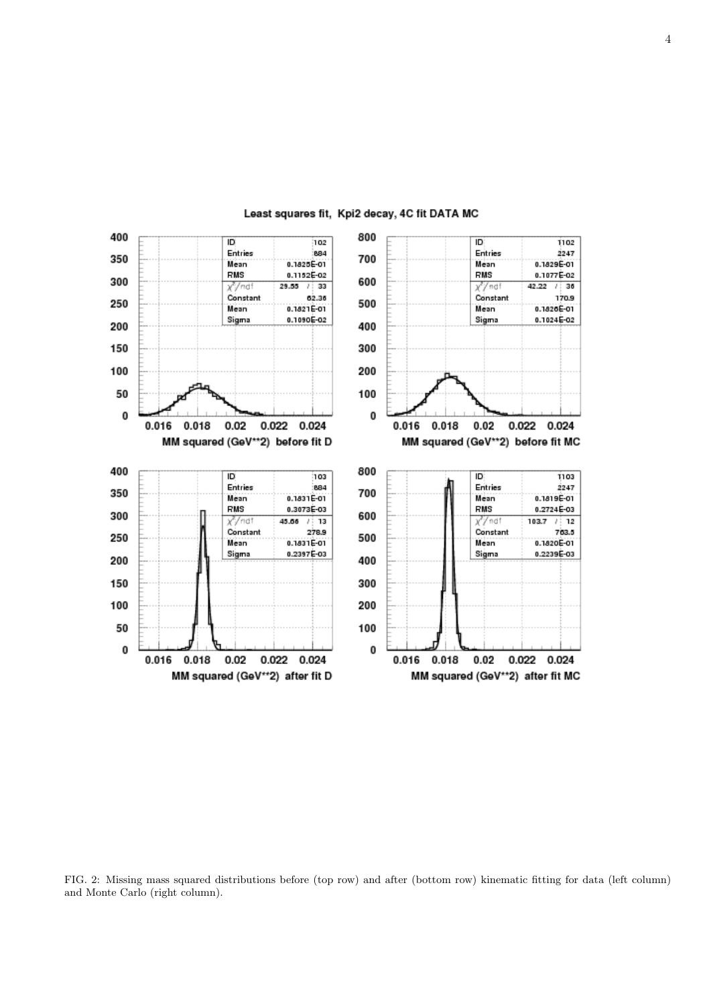

Least squares fit, Kpi2 decay, 4C fit DATA MC

FIG. 2: Missing mass squared distributions before (top row) and after (bottom row) kinematic fitting for data (left column) and Monte Carlo (right column).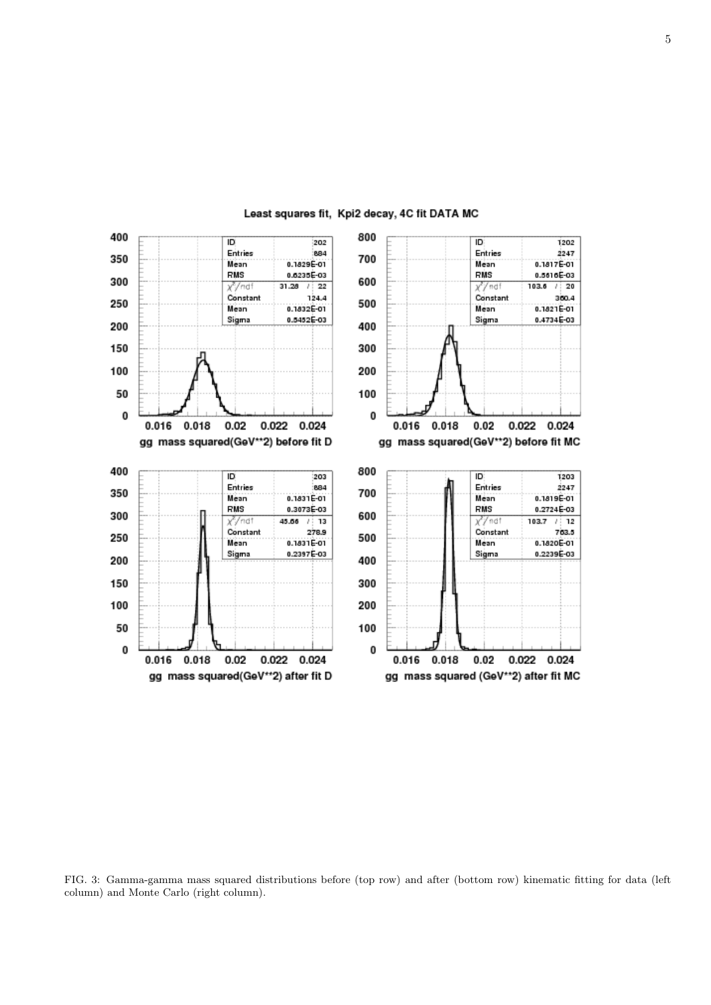

Least squares fit, Kpi2 decay, 4C fit DATA MC

FIG. 3: Gamma-gamma mass squared distributions before (top row) and after (bottom row) kinematic fitting for data (left column) and Monte Carlo (right column).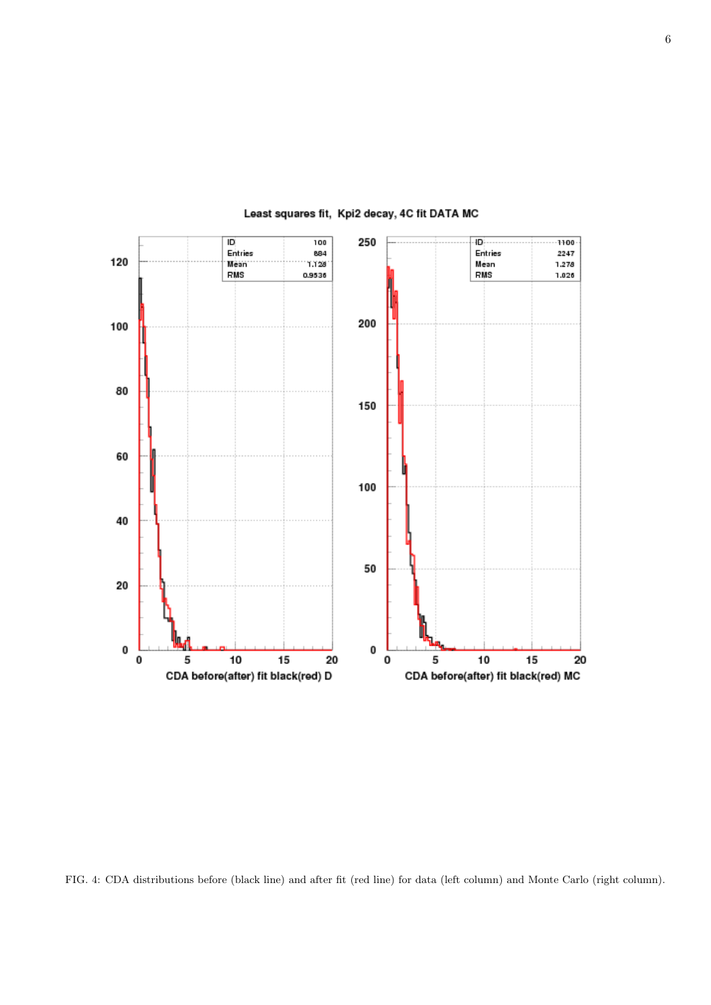

Least squares fit, Kpi2 decay, 4C fit DATA MC

FIG. 4: CDA distributions before (black line) and after fit (red line) for data (left column) and Monte Carlo (right column).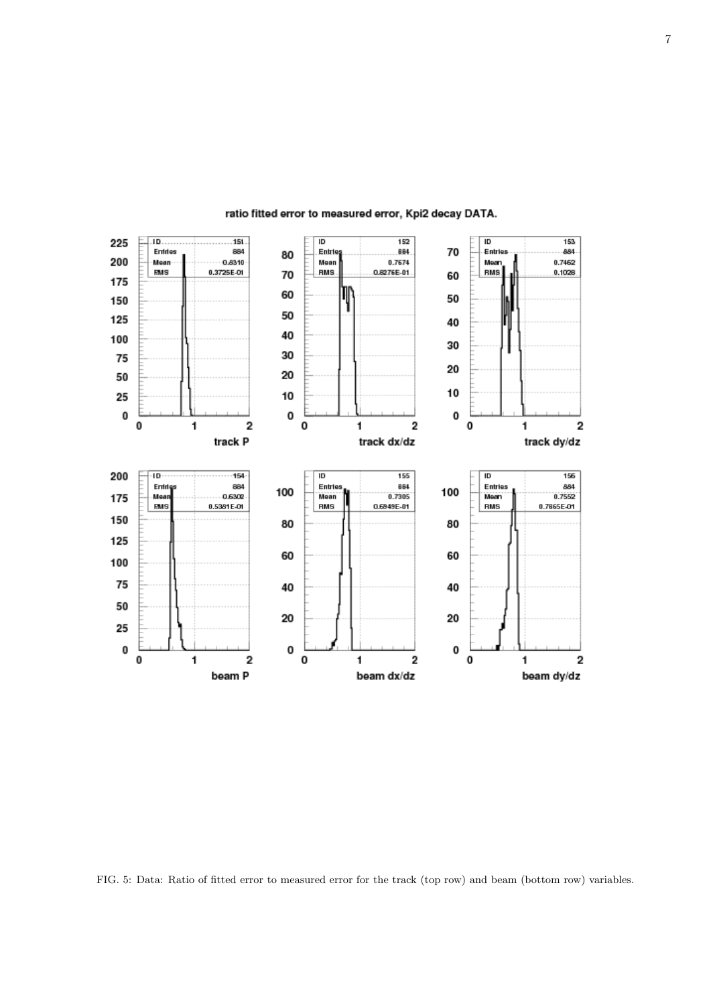

# ratio fitted error to measured error, Kpi2 decay DATA.

FIG. 5: Data: Ratio of fitted error to measured error for the track (top row) and beam (bottom row) variables.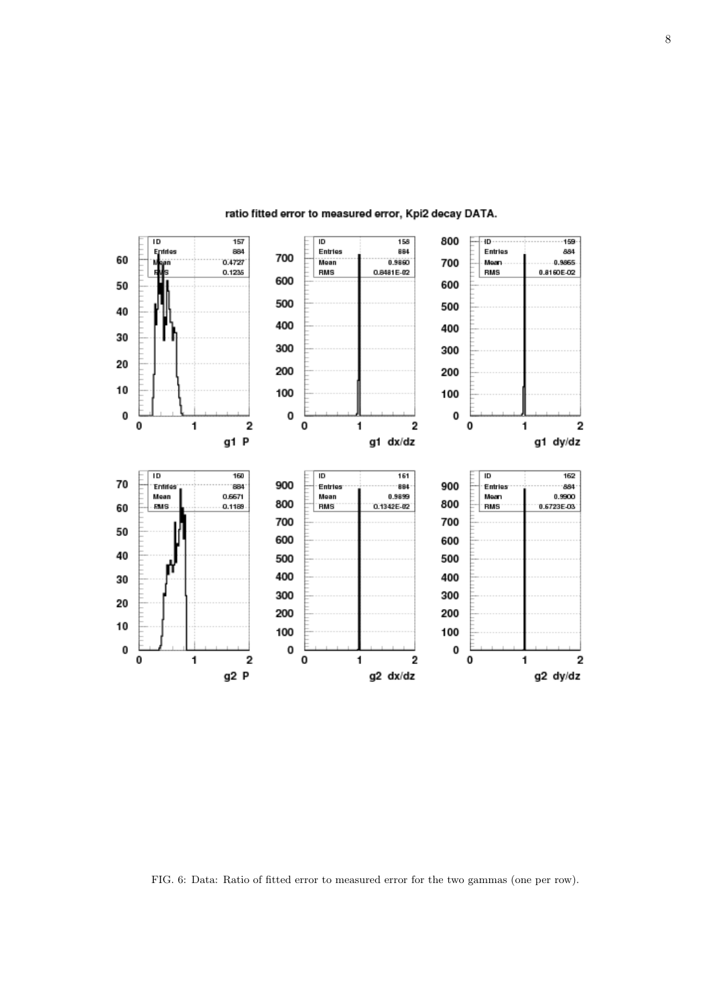

# ratio fitted error to measured error, Kpi2 decay DATA.

FIG. 6: Data: Ratio of fitted error to measured error for the two gammas (one per row).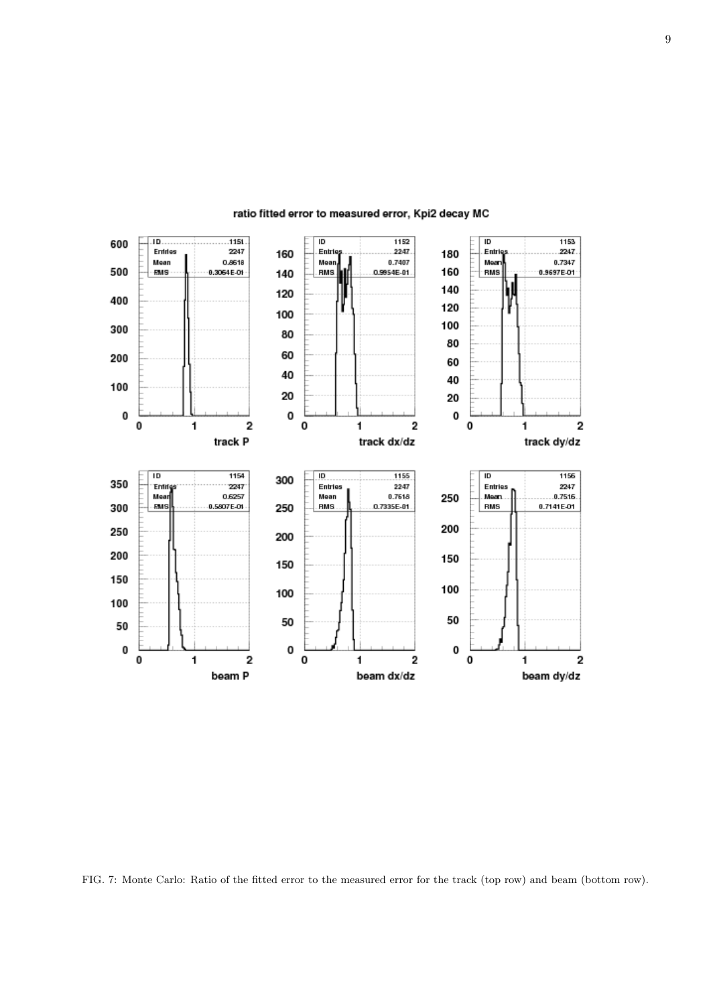

## ratio fitted error to measured error, Kpi2 decay MC

FIG. 7: Monte Carlo: Ratio of the fitted error to the measured error for the track (top row) and beam (bottom row).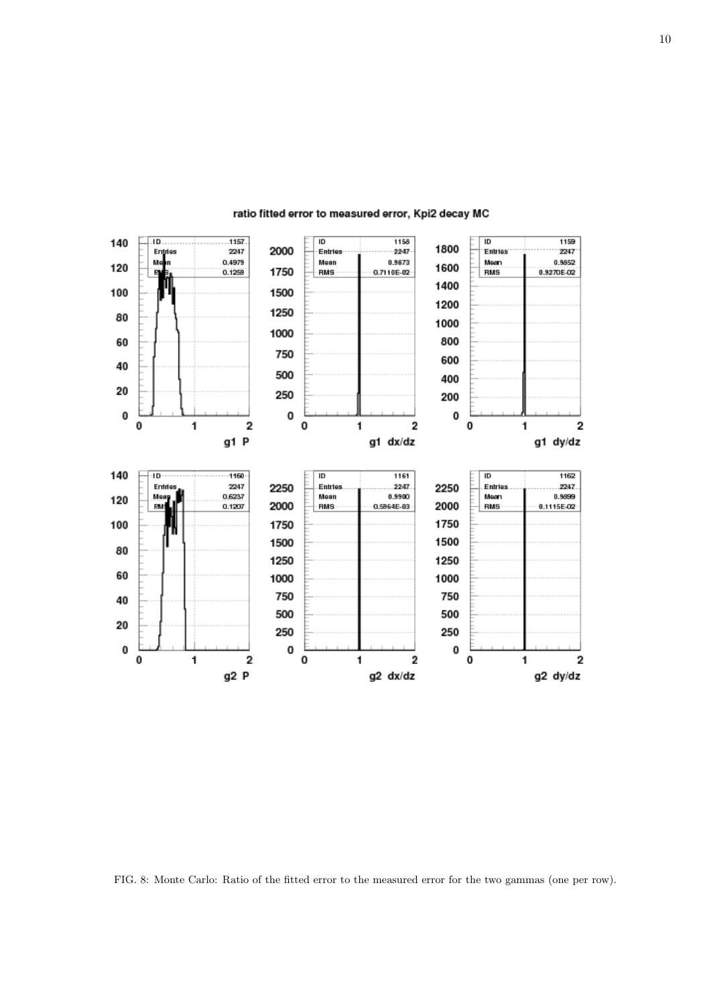

## ratio fitted error to measured error, Kpi2 decay MC

FIG. 8: Monte Carlo: Ratio of the fitted error to the measured error for the two gammas (one per row).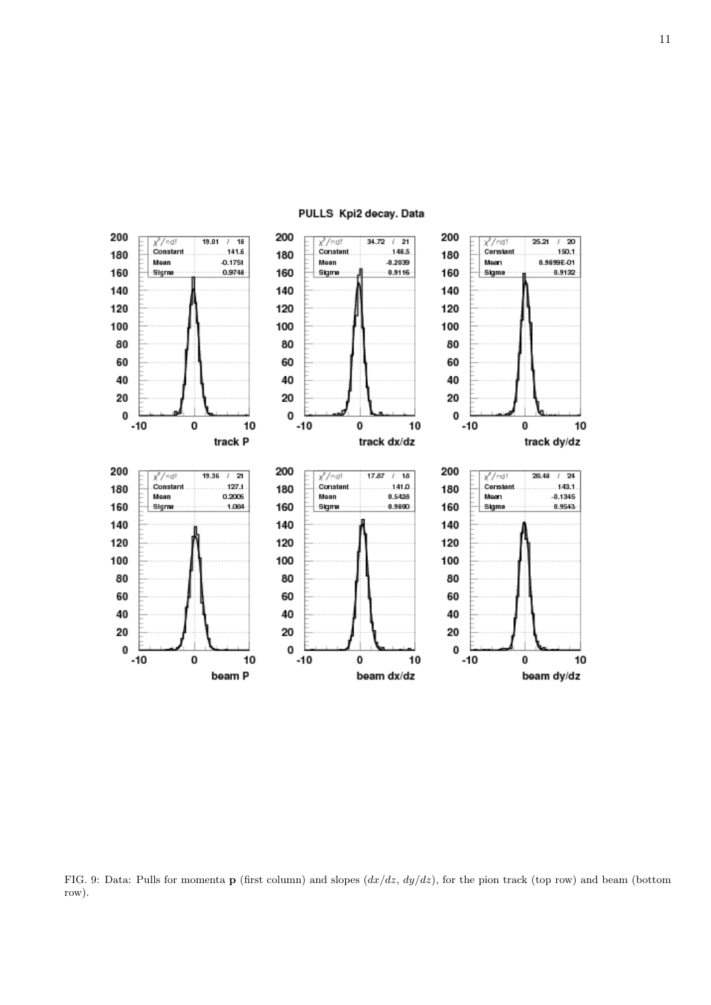

FIG. 9: Data: Pulls for momenta p (first column) and slopes  $(dx/dz, dy/dz)$ , for the pion track (top row) and beam (bottom row).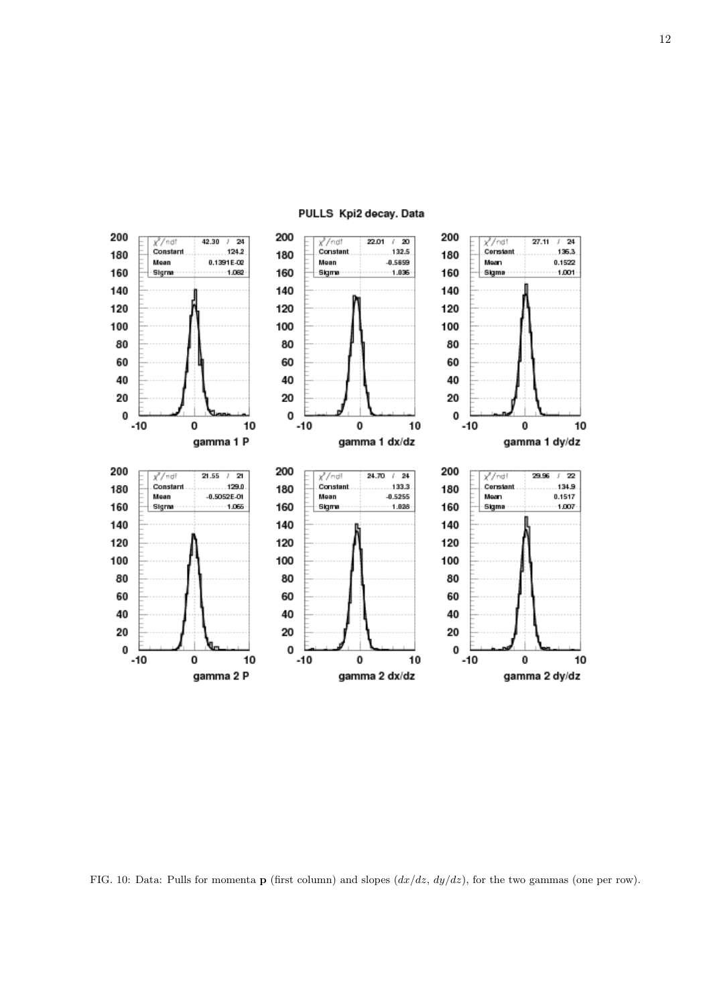

FIG. 10: Data: Pulls for momenta **p** (first column) and slopes  $\left(\frac{dx}{dz}, \frac{dy}{dz}\right)$ , for the two gammas (one per row).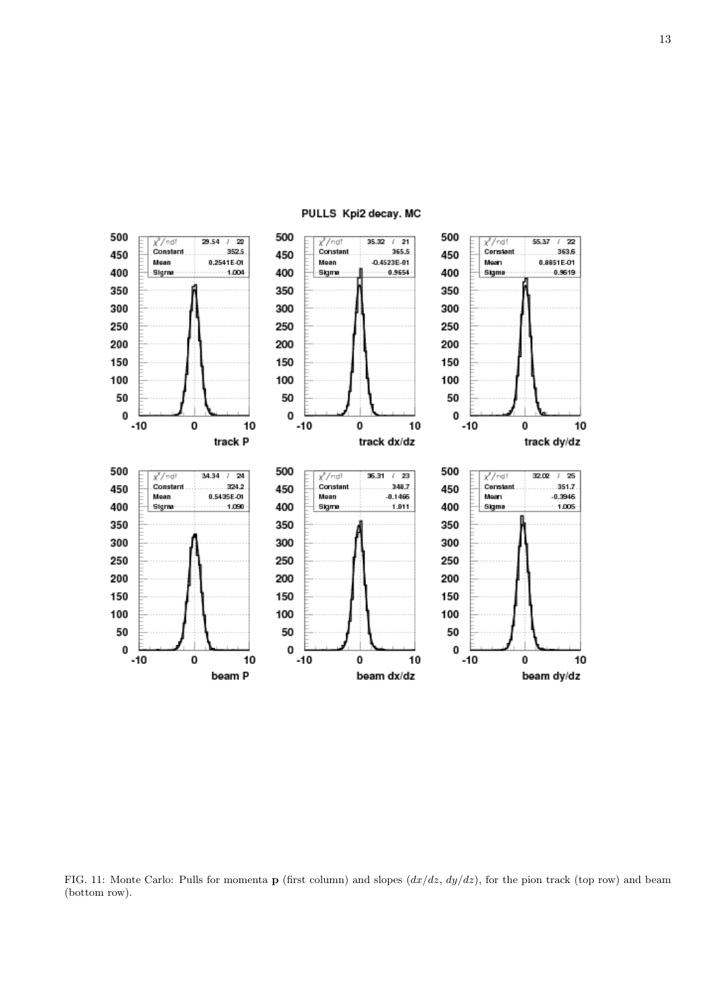

PULLS Kpi2 decay. MC

FIG. 11: Monte Carlo: Pulls for momenta **p** (first column) and slopes  $(dx/dz, dy/dz)$ , for the pion track (top row) and beam (bottom row).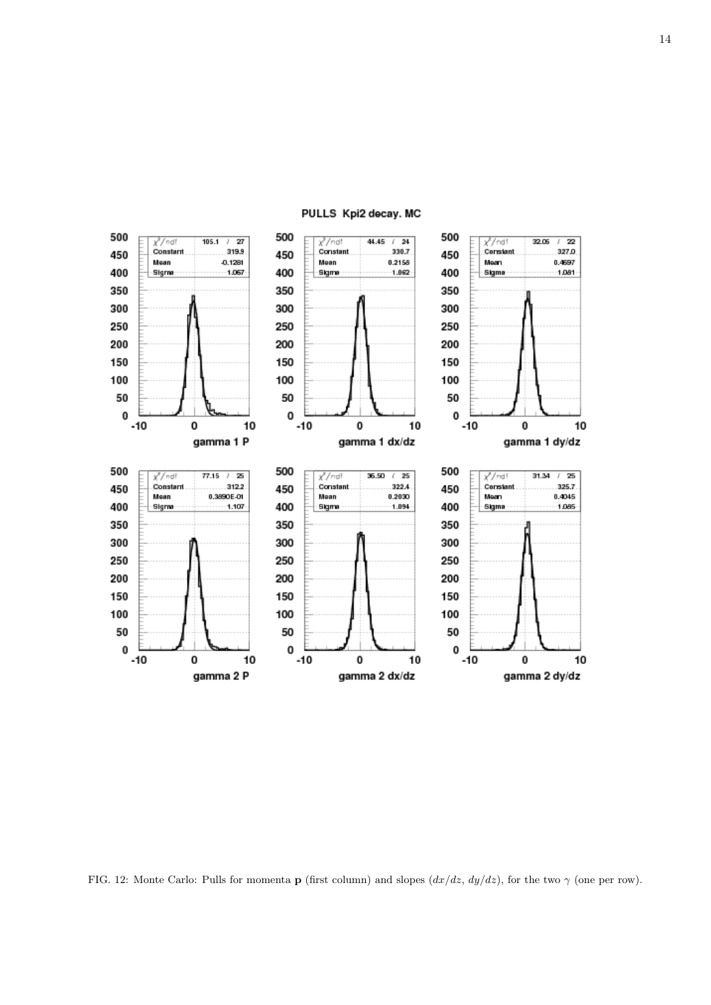

PULLS Kpi2 decay. MC

FIG. 12: Monte Carlo: Pulls for momenta **p** (first column) and slopes  $(dx/dz, dy/dz)$ , for the two  $\gamma$  (one per row).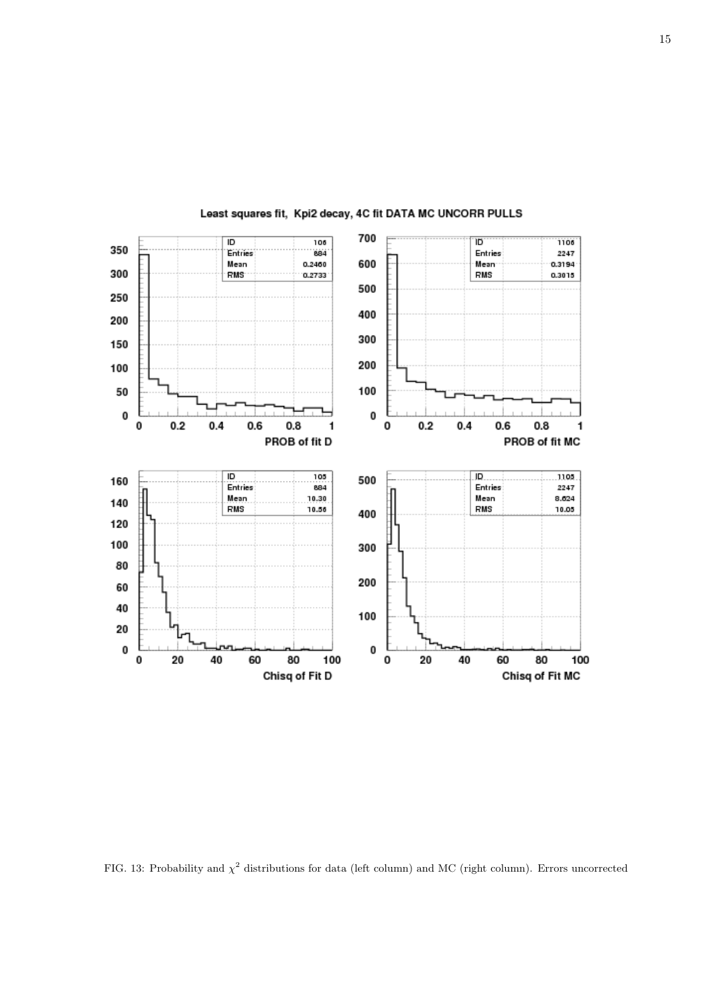

# Least squares fit, Kpi2 decay, 4C fit DATA MC UNCORR PULLS

FIG. 13: Probability and  $\chi^2$  distributions for data (left column) and MC (right column). Errors uncorrected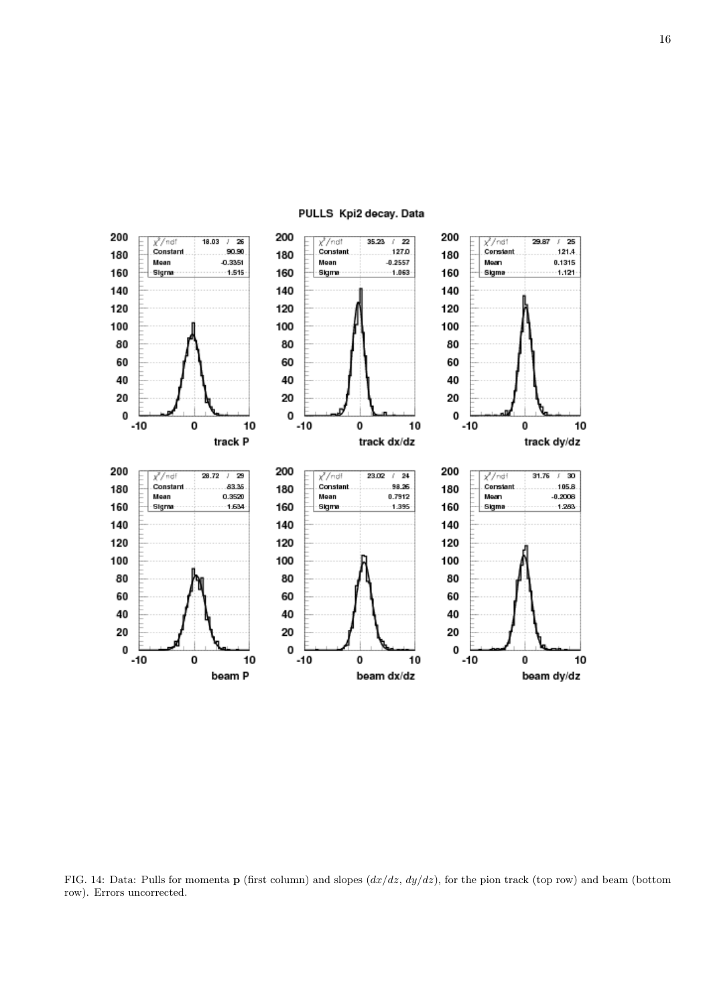

FIG. 14: Data: Pulls for momenta **p** (first column) and slopes  $(dx/dz, dy/dz)$ , for the pion track (top row) and beam (bottom row). Errors uncorrected.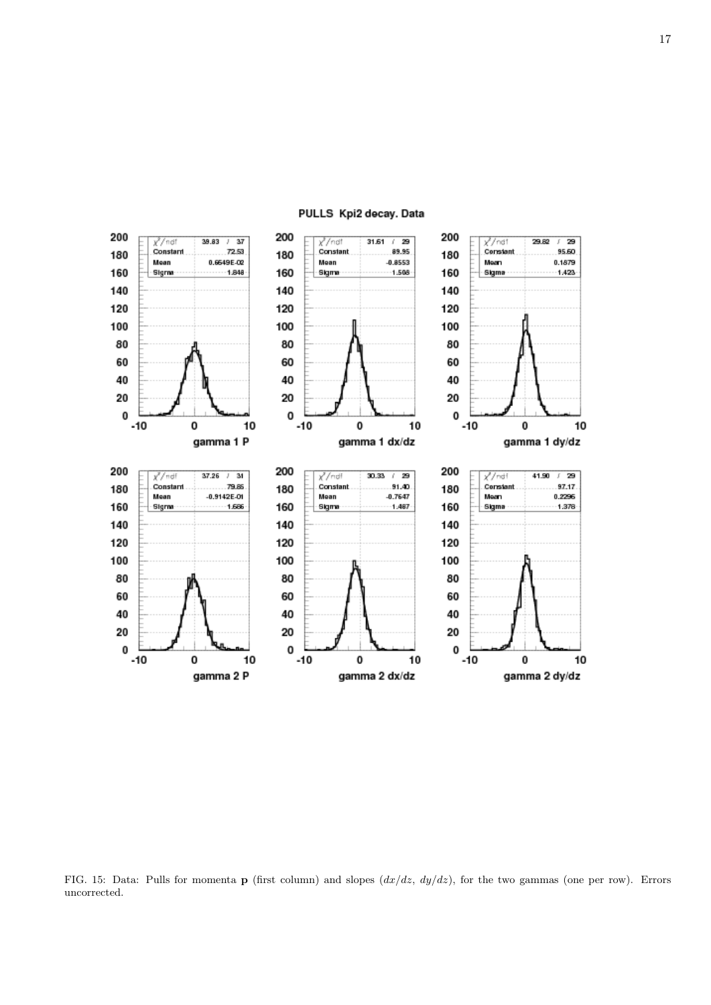

FIG. 15: Data: Pulls for momenta **p** (first column) and slopes  $(dx/dz, dy/dz)$ , for the two gammas (one per row). Errors uncorrected.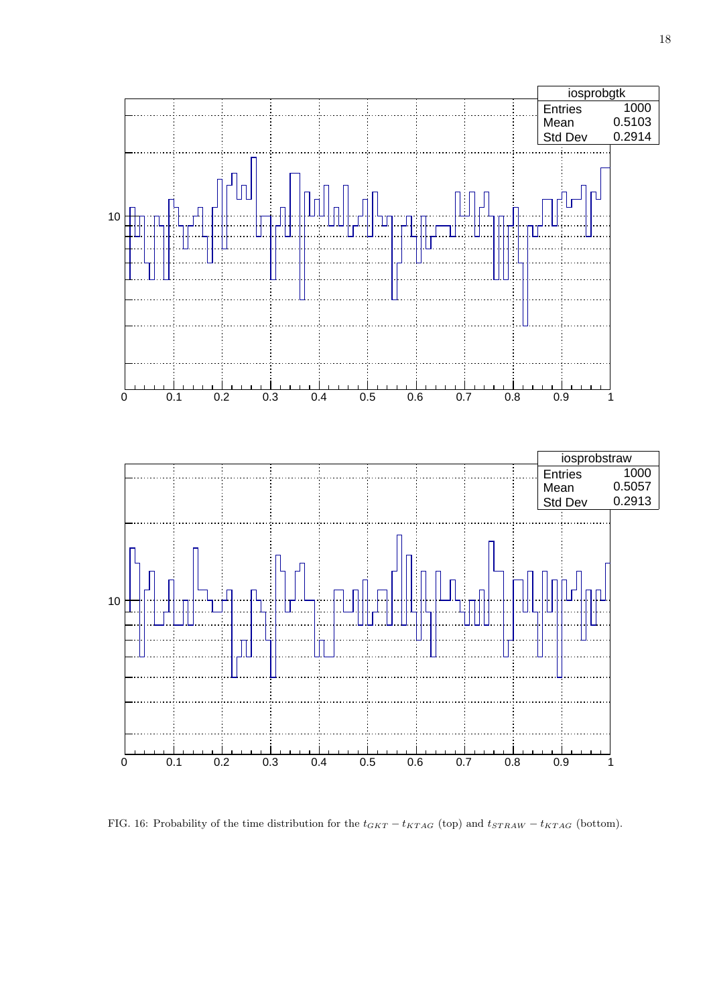

FIG. 16: Probability of the time distribution for the  $t_{GKT} - t_{KTAG}$  (top) and  $t_{STRAW} - t_{KTAG}$  (bottom).